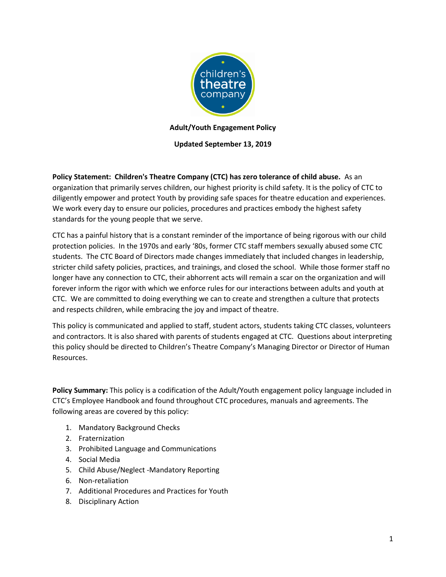

**Adult/Youth Engagement Policy**

**Updated September 13, 2019**

**Policy Statement: Children's Theatre Company (CTC) has zero tolerance of child abuse.** As an organization that primarily serves children, our highest priority is child safety. It is the policy of CTC to diligently empower and protect Youth by providing safe spaces for theatre education and experiences. We work every day to ensure our policies, procedures and practices embody the highest safety standards for the young people that we serve.

CTC has a painful history that is a constant reminder of the importance of being rigorous with our child protection policies. In the 1970s and early '80s, former CTC staff members sexually abused some CTC students. The CTC Board of Directors made changes immediately that included changes in leadership, stricter child safety policies, practices, and trainings, and closed the school. While those former staff no longer have any connection to CTC, their abhorrent acts will remain a scar on the organization and will forever inform the rigor with which we enforce rules for our interactions between adults and youth at CTC. We are committed to doing everything we can to create and strengthen a culture that protects and respects children, while embracing the joy and impact of theatre.

This policy is communicated and applied to staff, student actors, students taking CTC classes, volunteers and contractors. It is also shared with parents of students engaged at CTC. Questions about interpreting this policy should be directed to Children's Theatre Company's Managing Director or Director of Human Resources.

**Policy Summary:** This policy is a codification of the Adult/Youth engagement policy language included in CTC's Employee Handbook and found throughout CTC procedures, manuals and agreements. The following areas are covered by this policy:

- 1. Mandatory Background Checks
- 2. Fraternization
- 3. Prohibited Language and Communications
- 4. Social Media
- 5. Child Abuse/Neglect -Mandatory Reporting
- 6. Non-retaliation
- 7. Additional Procedures and Practices for Youth
- 8. Disciplinary Action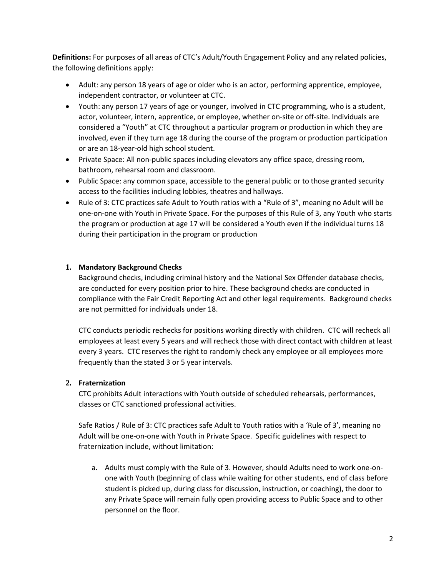**Definitions:** For purposes of all areas of CTC's Adult/Youth Engagement Policy and any related policies, the following definitions apply:

- Adult: any person 18 years of age or older who is an actor, performing apprentice, employee, independent contractor, or volunteer at CTC.
- Youth: any person 17 years of age or younger, involved in CTC programming, who is a student, actor, volunteer, intern, apprentice, or employee, whether on-site or off-site. Individuals are considered a "Youth" at CTC throughout a particular program or production in which they are involved, even if they turn age 18 during the course of the program or production participation or are an 18-year-old high school student.
- Private Space: All non-public spaces including elevators any office space, dressing room, bathroom, rehearsal room and classroom.
- Public Space: any common space, accessible to the general public or to those granted security access to the facilities including lobbies, theatres and hallways.
- Rule of 3: CTC practices safe Adult to Youth ratios with a "Rule of 3", meaning no Adult will be one-on-one with Youth in Private Space. For the purposes of this Rule of 3, any Youth who starts the program or production at age 17 will be considered a Youth even if the individual turns 18 during their participation in the program or production

#### **1. Mandatory Background Checks**

Background checks, including criminal history and the National Sex Offender database checks, are conducted for every position prior to hire. These background checks are conducted in compliance with the Fair Credit Reporting Act and other legal requirements. Background checks are not permitted for individuals under 18.

CTC conducts periodic rechecks for positions working directly with children. CTC will recheck all employees at least every 5 years and will recheck those with direct contact with children at least every 3 years. CTC reserves the right to randomly check any employee or all employees more frequently than the stated 3 or 5 year intervals.

## **2. Fraternization**

CTC prohibits Adult interactions with Youth outside of scheduled rehearsals, performances, classes or CTC sanctioned professional activities.

Safe Ratios / Rule of 3: CTC practices safe Adult to Youth ratios with a 'Rule of 3', meaning no Adult will be one-on-one with Youth in Private Space. Specific guidelines with respect to fraternization include, without limitation:

a. Adults must comply with the Rule of 3. However, should Adults need to work one-onone with Youth (beginning of class while waiting for other students, end of class before student is picked up, during class for discussion, instruction, or coaching), the door to any Private Space will remain fully open providing access to Public Space and to other personnel on the floor.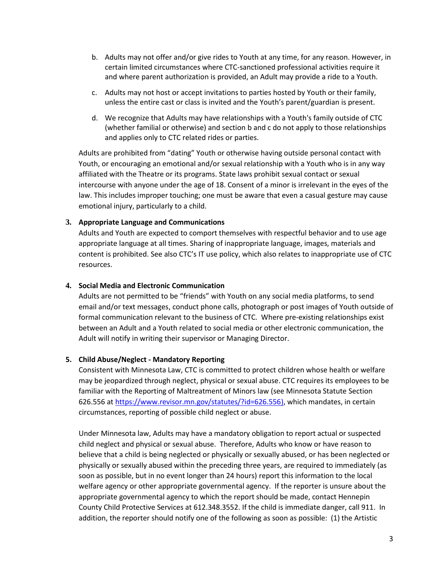- b. Adults may not offer and/or give rides to Youth at any time, for any reason. However, in certain limited circumstances where CTC-sanctioned professional activities require it and where parent authorization is provided, an Adult may provide a ride to a Youth.
- c. Adults may not host or accept invitations to parties hosted by Youth or their family, unless the entire cast or class is invited and the Youth's parent/guardian is present.
- d. We recognize that Adults may have relationships with a Youth's family outside of CTC (whether familial or otherwise) and section b and c do not apply to those relationships and applies only to CTC related rides or parties.

Adults are prohibited from "dating" Youth or otherwise having outside personal contact with Youth, or encouraging an emotional and/or sexual relationship with a Youth who is in any way affiliated with the Theatre or its programs. State laws prohibit sexual contact or sexual intercourse with anyone under the age of 18. Consent of a minor is irrelevant in the eyes of the law. This includes improper touching; one must be aware that even a casual gesture may cause emotional injury, particularly to a child.

#### **3. Appropriate Language and Communications**

Adults and Youth are expected to comport themselves with respectful behavior and to use age appropriate language at all times. Sharing of inappropriate language, images, materials and content is prohibited. See also CTC's IT use policy, which also relates to inappropriate use of CTC resources.

#### **4. Social Media and Electronic Communication**

Adults are not permitted to be "friends" with Youth on any social media platforms, to send email and/or text messages, conduct phone calls, photograph or post images of Youth outside of formal communication relevant to the business of CTC. Where pre-existing relationships exist between an Adult and a Youth related to social media or other electronic communication, the Adult will notify in writing their supervisor or Managing Director.

#### **5. Child Abuse/Neglect - Mandatory Reporting**

Consistent with Minnesota Law, CTC is committed to protect children whose health or welfare may be jeopardized through neglect, physical or sexual abuse. CTC requires its employees to be familiar with the Reporting of Maltreatment of Minors law (see Minnesota Statute Section 626.556 at [https://www.revisor.mn.gov/statutes/?id=626.556\)](https://www.revisor.mn.gov/statutes/?id=626.556), which mandates, in certain circumstances, reporting of possible child neglect or abuse.

Under Minnesota law, Adults may have a mandatory obligation to report actual or suspected child neglect and physical or sexual abuse. Therefore, Adults who know or have reason to believe that a child is being neglected or physically or sexually abused, or has been neglected or physically or sexually abused within the preceding three years, are required to immediately (as soon as possible, but in no event longer than 24 hours) report this information to the local welfare agency or other appropriate governmental agency. If the reporter is unsure about the appropriate governmental agency to which the report should be made, contact Hennepin County Child Protective Services at 612.348.3552. If the child is immediate danger, call 911. In addition, the reporter should notify one of the following as soon as possible: (1) the Artistic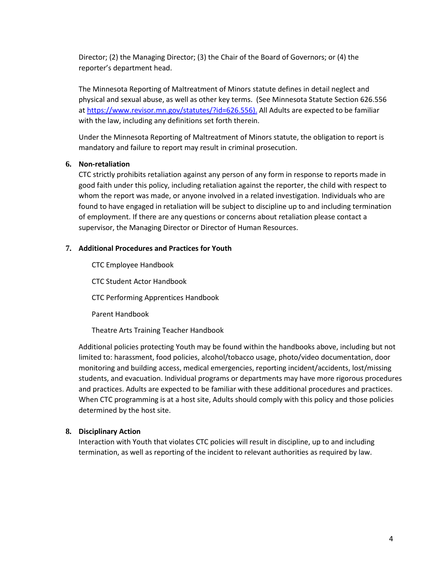Director; (2) the Managing Director; (3) the Chair of the Board of Governors; or (4) the reporter's department head.

The Minnesota Reporting of Maltreatment of Minors statute defines in detail neglect and physical and sexual abuse, as well as other key terms. (See Minnesota Statute Section 626.556 a[t https://www.revisor.mn.gov/statutes/?id=626.556\)](https://www.revisor.mn.gov/statutes/?id=626.556). All Adults are expected to be familiar with the law, including any definitions set forth therein.

Under the Minnesota Reporting of Maltreatment of Minors statute, the obligation to report is mandatory and failure to report may result in criminal prosecution.

#### **6. Non-retaliation**

CTC strictly prohibits retaliation against any person of any form in response to reports made in good faith under this policy, including retaliation against the reporter, the child with respect to whom the report was made, or anyone involved in a related investigation. Individuals who are found to have engaged in retaliation will be subject to discipline up to and including termination of employment. If there are any questions or concerns about retaliation please contact a supervisor, the Managing Director or Director of Human Resources.

#### **7. Additional Procedures and Practices for Youth**

CTC Employee Handbook CTC Student Actor Handbook CTC Performing Apprentices Handbook Parent Handbook

Theatre Arts Training Teacher Handbook

Additional policies protecting Youth may be found within the handbooks above, including but not limited to: harassment, food policies, alcohol/tobacco usage, photo/video documentation, door monitoring and building access, medical emergencies, reporting incident/accidents, lost/missing students, and evacuation. Individual programs or departments may have more rigorous procedures and practices. Adults are expected to be familiar with these additional procedures and practices. When CTC programming is at a host site, Adults should comply with this policy and those policies determined by the host site.

## **8. Disciplinary Action**

Interaction with Youth that violates CTC policies will result in discipline, up to and including termination, as well as reporting of the incident to relevant authorities as required by law.